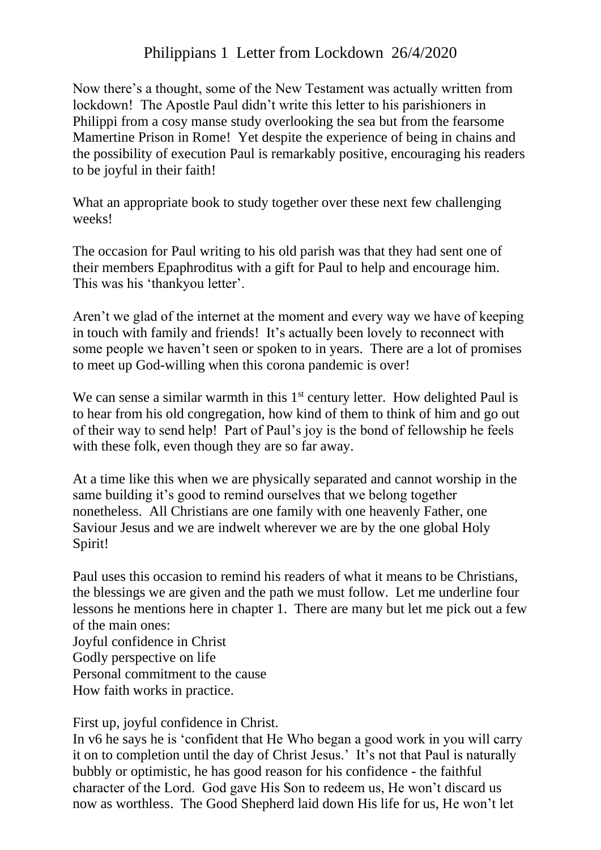## Philippians 1 Letter from Lockdown 26/4/2020

Now there's a thought, some of the New Testament was actually written from lockdown! The Apostle Paul didn't write this letter to his parishioners in Philippi from a cosy manse study overlooking the sea but from the fearsome Mamertine Prison in Rome! Yet despite the experience of being in chains and the possibility of execution Paul is remarkably positive, encouraging his readers to be joyful in their faith!

What an appropriate book to study together over these next few challenging weeks!

The occasion for Paul writing to his old parish was that they had sent one of their members Epaphroditus with a gift for Paul to help and encourage him. This was his 'thankyou letter'.

Aren't we glad of the internet at the moment and every way we have of keeping in touch with family and friends! It's actually been lovely to reconnect with some people we haven't seen or spoken to in years. There are a lot of promises to meet up God-willing when this corona pandemic is over!

We can sense a similar warmth in this  $1<sup>st</sup>$  century letter. How delighted Paul is to hear from his old congregation, how kind of them to think of him and go out of their way to send help! Part of Paul's joy is the bond of fellowship he feels with these folk, even though they are so far away.

At a time like this when we are physically separated and cannot worship in the same building it's good to remind ourselves that we belong together nonetheless. All Christians are one family with one heavenly Father, one Saviour Jesus and we are indwelt wherever we are by the one global Holy Spirit!

Paul uses this occasion to remind his readers of what it means to be Christians, the blessings we are given and the path we must follow. Let me underline four lessons he mentions here in chapter 1. There are many but let me pick out a few of the main ones:

Joyful confidence in Christ Godly perspective on life Personal commitment to the cause How faith works in practice.

First up, joyful confidence in Christ.

In v6 he says he is 'confident that He Who began a good work in you will carry it on to completion until the day of Christ Jesus.' It's not that Paul is naturally bubbly or optimistic, he has good reason for his confidence - the faithful character of the Lord. God gave His Son to redeem us, He won't discard us now as worthless. The Good Shepherd laid down His life for us, He won't let